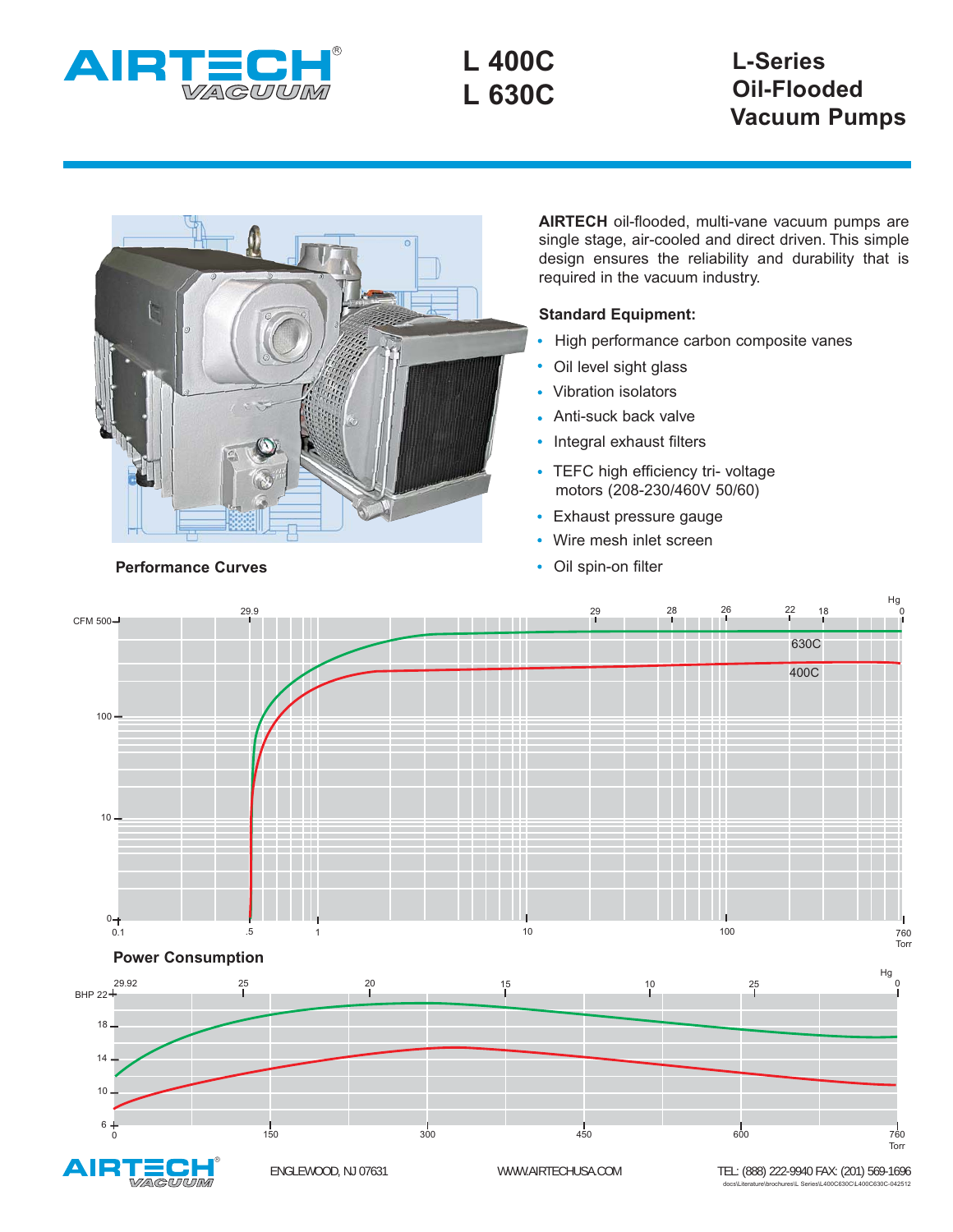

**L 400C L 630C**

# **L-Series Oil-Flooded Vacuum Pumps**



**AIRTECH** oil-flooded, multi-vane vacuum pumps are single stage, air-cooled and direct driven. This simple design ensures the reliability and durability that is required in the vacuum industry.

### **Standard Equipment:**

- High performance carbon composite vanes
- Oil level sight glass
- Vibration isolators
- Anti-suck back valve
- Integral exhaust filters
- TEFC high efficiency tri- voltage motors (208-230/460V 50/60)
- Exhaust pressure gauge
- Wire mesh inlet screen
- Oil spin-on filter



#### **Performance Curves**